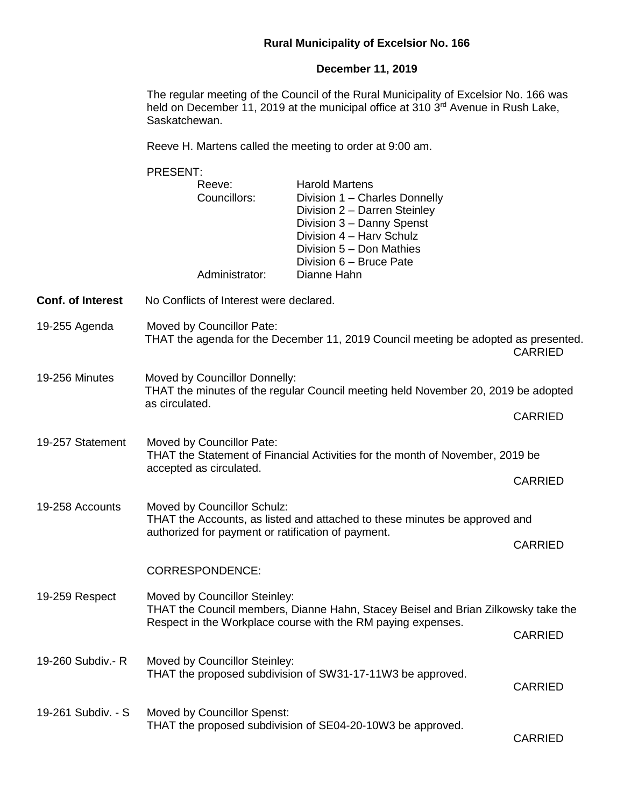## **Rural Municipality of Excelsior No. 166**

## **December 11, 2019**

The regular meeting of the Council of the Rural Municipality of Excelsior No. 166 was held on December 11, 2019 at the municipal office at 310  $3<sup>rd</sup>$  Avenue in Rush Lake, Saskatchewan.

Reeve H. Martens called the meeting to order at 9:00 am.

PRESENT: Reeve: Harold Martens Councillors: Division 1 – Charles Donnelly Division 2 – Darren Steinley Division 3 – Danny Spenst Division 4 – Harv Schulz Division 5 – Don Mathies Division 6 – Bruce Pate Administrator: Dianne Hahn **Conf. of Interest** No Conflicts of Interest were declared. 19-255 Agenda Moved by Councillor Pate: THAT the agenda for the December 11, 2019 Council meeting be adopted as presented. CARRIED 19-256 Minutes Moved by Councillor Donnelly: THAT the minutes of the regular Council meeting held November 20, 2019 be adopted as circulated. CARRIED 19-257 Statement Moved by Councillor Pate: THAT the Statement of Financial Activities for the month of November, 2019 be accepted as circulated. CARRIED 19-258 Accounts Moved by Councillor Schulz: THAT the Accounts, as listed and attached to these minutes be approved and authorized for payment or ratification of payment. CARRIED CORRESPONDENCE: 19-259 Respect Moved by Councillor Steinley: THAT the Council members, Dianne Hahn, Stacey Beisel and Brian Zilkowsky take the Respect in the Workplace course with the RM paying expenses. CARRIED 19-260 Subdiv.- R Moved by Councillor Steinley: THAT the proposed subdivision of SW31-17-11W3 be approved. CARRIED 19-261 Subdiv. - S Moved by Councillor Spenst: THAT the proposed subdivision of SE04-20-10W3 be approved. CARRIED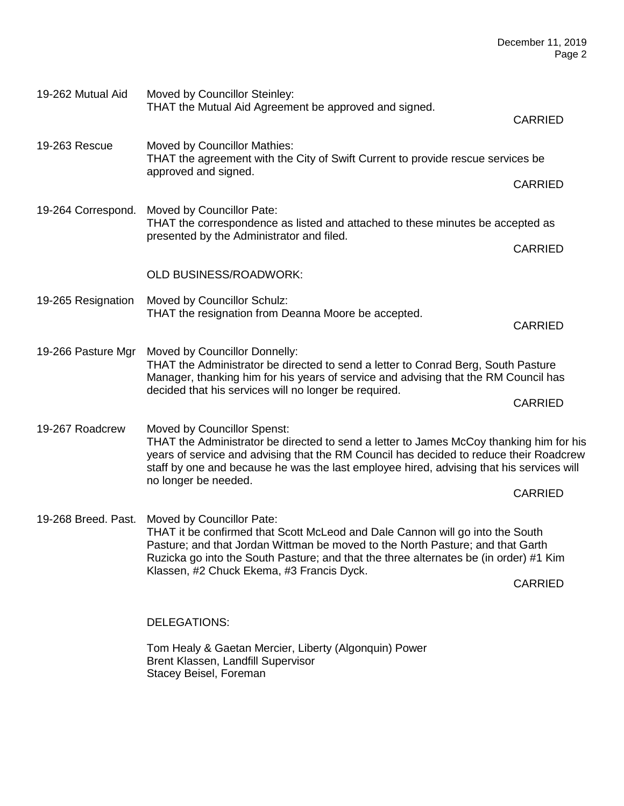| 19-262 Mutual Aid  | Moved by Councillor Steinley:<br>THAT the Mutual Aid Agreement be approved and signed.                                                                                                                                                                                                                                                                 | <b>CARRIED</b> |
|--------------------|--------------------------------------------------------------------------------------------------------------------------------------------------------------------------------------------------------------------------------------------------------------------------------------------------------------------------------------------------------|----------------|
| 19-263 Rescue      | Moved by Councillor Mathies:<br>THAT the agreement with the City of Swift Current to provide rescue services be<br>approved and signed.                                                                                                                                                                                                                |                |
|                    |                                                                                                                                                                                                                                                                                                                                                        | <b>CARRIED</b> |
| 19-264 Correspond. | Moved by Councillor Pate:<br>THAT the correspondence as listed and attached to these minutes be accepted as<br>presented by the Administrator and filed.                                                                                                                                                                                               |                |
|                    |                                                                                                                                                                                                                                                                                                                                                        | <b>CARRIED</b> |
|                    | <b>OLD BUSINESS/ROADWORK:</b>                                                                                                                                                                                                                                                                                                                          |                |
| 19-265 Resignation | Moved by Councillor Schulz:<br>THAT the resignation from Deanna Moore be accepted.                                                                                                                                                                                                                                                                     | <b>CARRIED</b> |
| 19-266 Pasture Mgr | Moved by Councillor Donnelly:<br>THAT the Administrator be directed to send a letter to Conrad Berg, South Pasture<br>Manager, thanking him for his years of service and advising that the RM Council has<br>decided that his services will no longer be required.                                                                                     |                |
|                    |                                                                                                                                                                                                                                                                                                                                                        | <b>CARRIED</b> |
| 19-267 Roadcrew    | Moved by Councillor Spenst:<br>THAT the Administrator be directed to send a letter to James McCoy thanking him for his<br>years of service and advising that the RM Council has decided to reduce their Roadcrew<br>staff by one and because he was the last employee hired, advising that his services will<br>no longer be needed.                   |                |
|                    |                                                                                                                                                                                                                                                                                                                                                        | <b>CARRIED</b> |
|                    | 19-268 Breed. Past. Moved by Councillor Pate:<br>THAT it be confirmed that Scott McLeod and Dale Cannon will go into the South<br>Pasture; and that Jordan Wittman be moved to the North Pasture; and that Garth<br>Ruzicka go into the South Pasture; and that the three alternates be (in order) #1 Kim<br>Klassen, #2 Chuck Ekema, #3 Francis Dyck. |                |
|                    |                                                                                                                                                                                                                                                                                                                                                        | <b>CARRIED</b> |
|                    | DELEGATIONS:                                                                                                                                                                                                                                                                                                                                           |                |
|                    | Tom Healy & Gaetan Mercier, Liberty (Algonquin) Power<br>Brent Klassen, Landfill Supervisor<br>Stacey Beisel, Foreman                                                                                                                                                                                                                                  |                |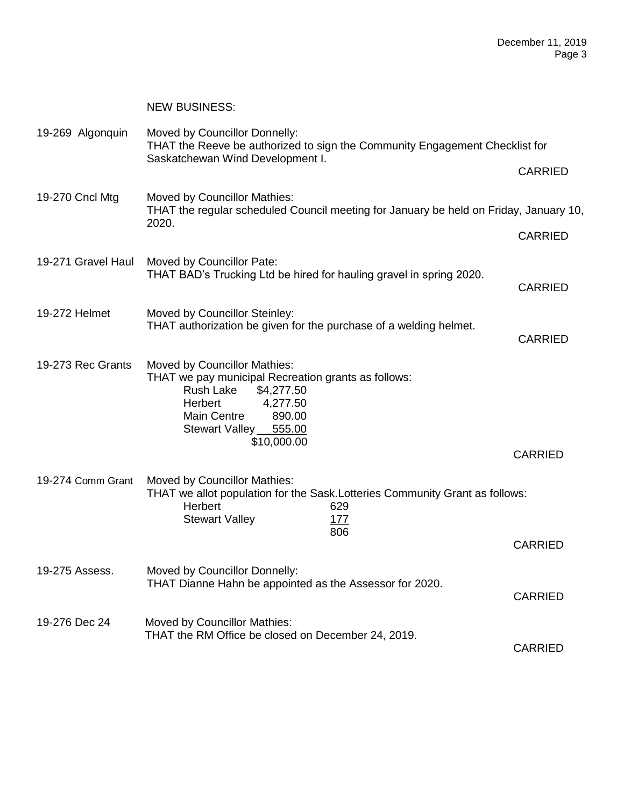|                    | <b>NEW BUSINESS:</b>                                                                                                                                                                                                 |                |
|--------------------|----------------------------------------------------------------------------------------------------------------------------------------------------------------------------------------------------------------------|----------------|
| 19-269 Algonquin   | Moved by Councillor Donnelly:<br>THAT the Reeve be authorized to sign the Community Engagement Checklist for                                                                                                         |                |
|                    | Saskatchewan Wind Development I.                                                                                                                                                                                     | <b>CARRIED</b> |
| 19-270 Cncl Mtg    | Moved by Councillor Mathies:<br>THAT the regular scheduled Council meeting for January be held on Friday, January 10,<br>2020.                                                                                       |                |
|                    |                                                                                                                                                                                                                      | <b>CARRIED</b> |
| 19-271 Gravel Haul | Moved by Councillor Pate:<br>THAT BAD's Trucking Ltd be hired for hauling gravel in spring 2020.                                                                                                                     | <b>CARRIED</b> |
| 19-272 Helmet      | Moved by Councillor Steinley:<br>THAT authorization be given for the purchase of a welding helmet.                                                                                                                   | <b>CARRIED</b> |
| 19-273 Rec Grants  | Moved by Councillor Mathies:<br>THAT we pay municipal Recreation grants as follows:<br>Rush Lake<br>\$4,277.50<br><b>Herbert</b><br>4,277.50<br><b>Main Centre</b><br>890.00<br>Stewart Valley 555.00<br>\$10,000.00 | <b>CARRIED</b> |
| 19-274 Comm Grant  | Moved by Councillor Mathies:                                                                                                                                                                                         |                |
|                    | THAT we allot population for the Sask. Lotteries Community Grant as follows:<br>Herbert<br>629<br><b>Stewart Valley</b><br>177                                                                                       |                |
|                    | 806                                                                                                                                                                                                                  | <b>CARRIED</b> |
| 19-275 Assess.     | Moved by Councillor Donnelly:<br>THAT Dianne Hahn be appointed as the Assessor for 2020.                                                                                                                             | <b>CARRIED</b> |
| 19-276 Dec 24      | Moved by Councillor Mathies:<br>THAT the RM Office be closed on December 24, 2019.                                                                                                                                   | <b>CARRIED</b> |